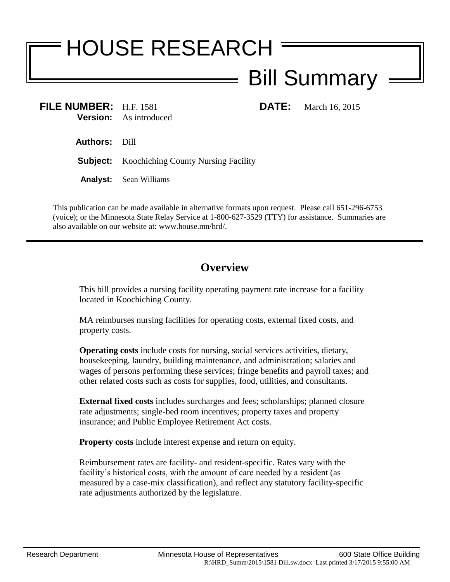## HOUSE RESEARCH Bill Summary

**FILE NUMBER:** H.F. 1581 **DATE:** March 16, 2015 **Version:** As introduced

**Authors:** Dill

**Subject:** Koochiching County Nursing Facility

**Analyst:** Sean Williams

This publication can be made available in alternative formats upon request. Please call 651-296-6753 (voice); or the Minnesota State Relay Service at 1-800-627-3529 (TTY) for assistance. Summaries are also available on our website at: www.house.mn/hrd/.

## **Overview**

This bill provides a nursing facility operating payment rate increase for a facility located in Koochiching County.

MA reimburses nursing facilities for operating costs, external fixed costs, and property costs.

**Operating costs** include costs for nursing, social services activities, dietary, housekeeping, laundry, building maintenance, and administration; salaries and wages of persons performing these services; fringe benefits and payroll taxes; and other related costs such as costs for supplies, food, utilities, and consultants.

**External fixed costs** includes surcharges and fees; scholarships; planned closure rate adjustments; single-bed room incentives; property taxes and property insurance; and Public Employee Retirement Act costs.

**Property costs** include interest expense and return on equity.

Reimbursement rates are facility- and resident-specific. Rates vary with the facility's historical costs, with the amount of care needed by a resident (as measured by a case-mix classification), and reflect any statutory facility-specific rate adjustments authorized by the legislature.